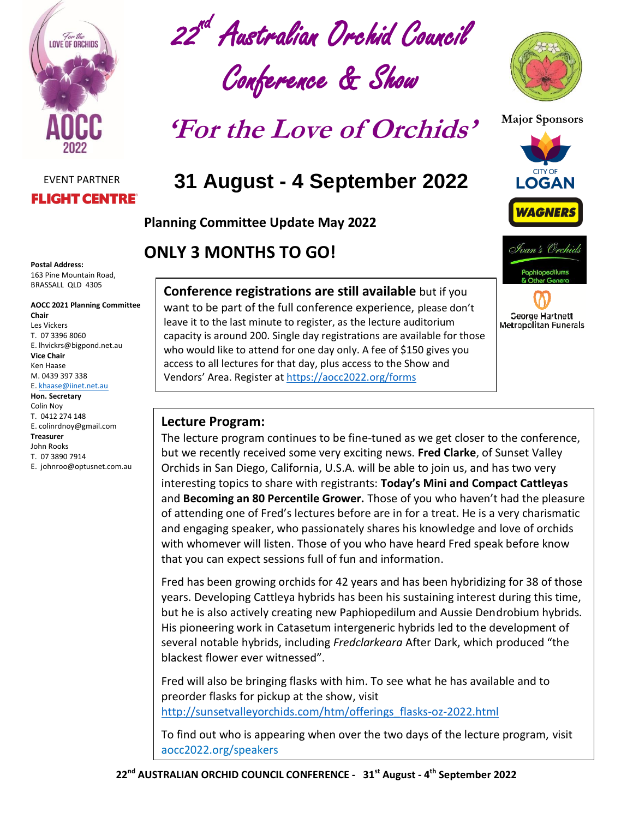

#### EVENT PARTNER **FLIGHT CENTRE®**

**Postal Address:** 163 Pine Mountain Road, BRASSALL QLD 4305

#### **AOCC 2021 Planning Committee Chair** Les Vickers T. 07 3396 8060 E. lhvickrs@bigpond.net.au **Vice Chair** Ken Haase M. 0439 397 338 E[. khaase@iinet.net.au](mailto:khaase@iinet.net.au) **Hon. Secretary**

Colin Noy T. 0412 274 148 E. colinrdnoy@gmail.com **Treasurer**  John Rooks T. 07 3890 7914 E. johnroo@optusnet.com.au

22<sup>nd</sup> Australian Orchid Council

# Conference & Show

**'For the Love of Orchids'**

## **31 August - 4 September 2022**

**Planning Committee Update May 2022**

### **ONLY 3 MONTHS TO GO!**

#### **Conference registrations are still available** but if you

want to be part of the full conference experience, please don't leave it to the last minute to register, as the lecture auditorium capacity is around 200. Single day registrations are available for those who would like to attend for one day only. A fee of \$150 gives you access to all lectures for that day, plus access to the Show and Vendors' Area. Register at<https://aocc2022.org/forms>





*WAGNERS* 

**George Hartnett Metropolitan Funerals** 

#### **Lecture Program:**

The lecture program continues to be fine-tuned as we get closer to the conference, but we recently received some very exciting news. **Fred Clarke**, of Sunset Valley Orchids in San Diego, California, U.S.A. will be able to join us, and has two very interesting topics to share with registrants: **Today's Mini and Compact Cattleyas** and **Becoming an 80 Percentile Grower.** Those of you who haven't had the pleasure of attending one of Fred's lectures before are in for a treat. He is a very charismatic and engaging speaker, who passionately shares his knowledge and love of orchids with whomever will listen. Those of you who have heard Fred speak before know that you can expect sessions full of fun and information.

Fred has been growing orchids for 42 years and has been hybridizing for 38 of those years. Developing Cattleya hybrids has been his sustaining interest during this time, but he is also actively creating new Paphiopedilum and Aussie Dendrobium hybrids. His pioneering work in Catasetum intergeneric hybrids led to the development of several notable hybrids, including *Fredclarkeara* After Dark, which produced "the blackest flower ever witnessed".

Fred will also be bringing flasks with him. To see what he has available and to preorder flasks for pickup at the show, visit [http://sunsetvalleyorchids.com/htm/offerings\\_flasks-oz-2022.html](http://sunsetvalleyorchids.com/htm/offerings_flasks-oz-2022.html)

To find out who is appearing when over the two days of the lecture program, visit aocc2022.org/speakers